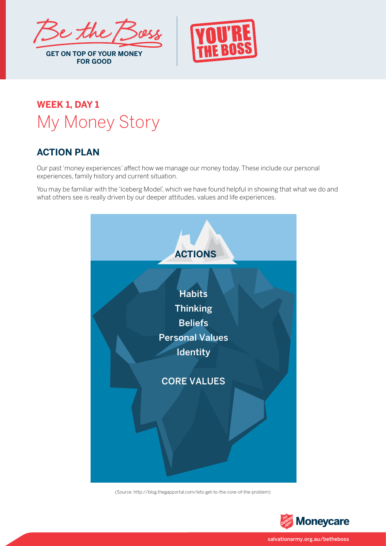

## **GET ON TOP OF YOUR MONEY FOR GOOD**

## **WEEK 1, DAY 1** My Money Story

## **ACTION PLAN**

Our past 'money experiences' affect how we manage our money today. These include our personal experiences, family history and current situation.

You may be familiar with the 'Iceberg Model', which we have found helpful in showing that what we do and what others see is really driven by our deeper attitudes, values and life experiences.



(Source: http://blog.thegapportal.com/lets-get-to-the-core-of-the-problem)